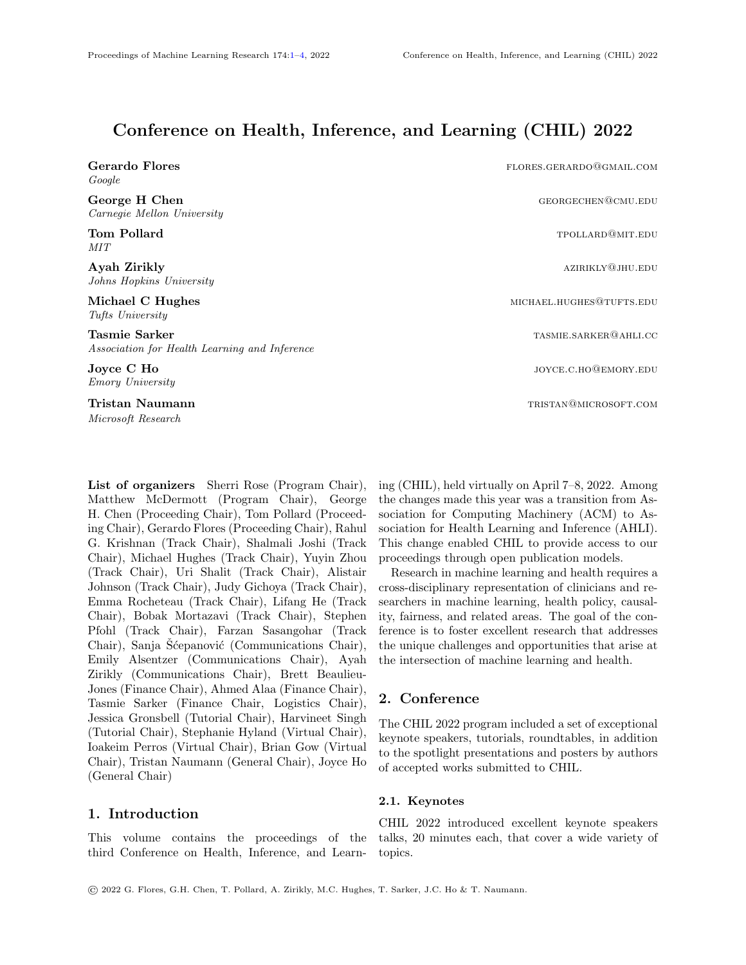# Conference on Health, Inference, and Learning (CHIL) 2022

Google

Carnegie Mellon University

MIT

Johns Hopkins University

Tufts University

Tasmie Sarker tasmie Sarker tasmie Sarker tasmie. Saak het die eerste van die steun van die steun van die seks<br>Tasmie Sarker tasmie van die steun van die steun van die steun van die steun van die steun van die steun van d Association for Health Learning and Inference

Emory University

Microsoft Research

<span id="page-0-0"></span>List of organizers Sherri Rose (Program Chair), Matthew McDermott (Program Chair), George H. Chen (Proceeding Chair), Tom Pollard (Proceeding Chair), Gerardo Flores (Proceeding Chair), Rahul G. Krishnan (Track Chair), Shalmali Joshi (Track Chair), Michael Hughes (Track Chair), Yuyin Zhou (Track Chair), Uri Shalit (Track Chair), Alistair Johnson (Track Chair), Judy Gichoya (Track Chair), Emma Rocheteau (Track Chair), Lifang He (Track Chair), Bobak Mortazavi (Track Chair), Stephen Pfohl (Track Chair), Farzan Sasangohar (Track Chair), Sanja Sćepanović (Communications Chair), Emily Alsentzer (Communications Chair), Ayah Zirikly (Communications Chair), Brett Beaulieu-Jones (Finance Chair), Ahmed Alaa (Finance Chair), Tasmie Sarker (Finance Chair, Logistics Chair), Jessica Gronsbell (Tutorial Chair), Harvineet Singh (Tutorial Chair), Stephanie Hyland (Virtual Chair), Ioakeim Perros (Virtual Chair), Brian Gow (Virtual Chair), Tristan Naumann (General Chair), Joyce Ho (General Chair)

# 1. Introduction

This volume contains the proceedings of the third Conference on Health, Inference, and Learn-

Gerardo Flores **formulation** flores **flores flores flores flores flores flores flores flores flores flores flores flores flores flores flores flores flores flores flores flores flore** George H Chen George H Chen georgechen gewurden der Georgechen georgechen georgechen gewu.edu Tom Pollard the Contract of the Contract of the Contract of the Contract of the TPOLLARD@MIT.EDU Ayah Zirikly azirikly and the state of the state of the state of the state of the state of the state of the state of the state of the state of the state of the state of the state of the state of the state of the state of t Michael C Hughes michael C Hughes michael.hughes michael.hughes michael.hughes@tufts.edu **Joyce C Ho** joyce.c.ho@emory.edu

**Tristan Naumann** tristan **Naumann** tristan **naumann** tristan@microsoft.com

ing (CHIL), held virtually on April 7–8, 2022. Among the changes made this year was a transition from Association for Computing Machinery (ACM) to Association for Health Learning and Inference (AHLI). This change enabled CHIL to provide access to our proceedings through open publication models.

Research in machine learning and health requires a cross-disciplinary representation of clinicians and researchers in machine learning, health policy, causality, fairness, and related areas. The goal of the conference is to foster excellent research that addresses the unique challenges and opportunities that arise at the intersection of machine learning and health.

# 2. Conference

The CHIL 2022 program included a set of exceptional keynote speakers, tutorials, roundtables, in addition to the spotlight presentations and posters by authors of accepted works submitted to CHIL.

#### 2.1. Keynotes

CHIL 2022 introduced excellent keynote speakers talks, 20 minutes each, that cover a wide variety of topics.

© 2022 G. Flores, G.H. Chen, T. Pollard, A. Zirikly, M.C. Hughes, T. Sarker, J.C. Ho & T. Naumann.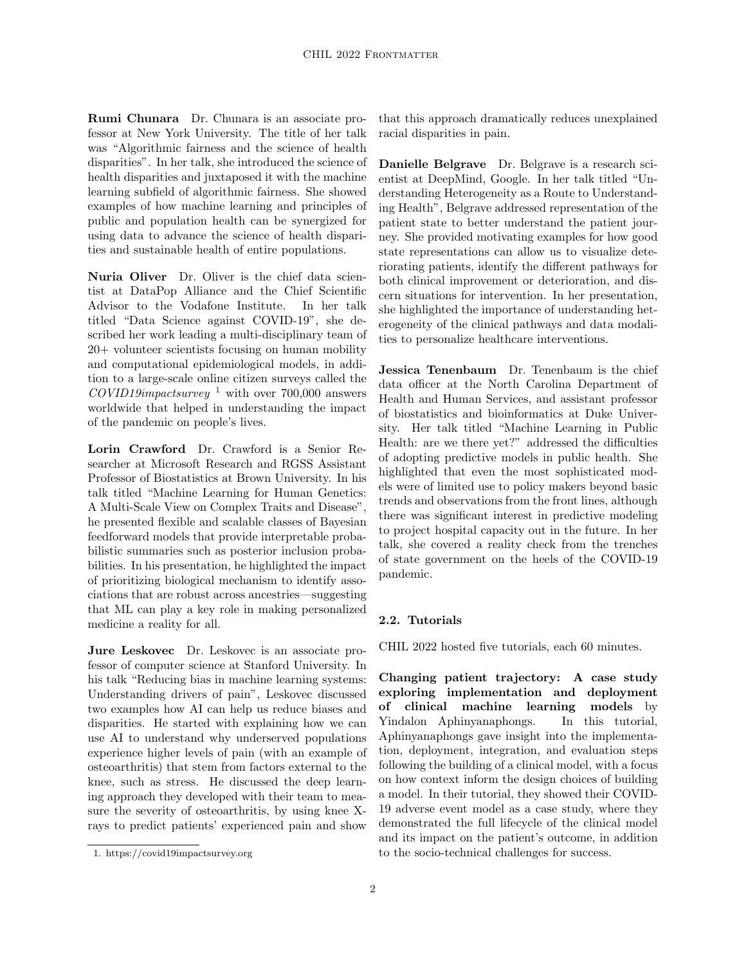Rumi Chunara Dr. Chunara is an associate professor at New York University. The title of her talk was "Algorithmic fairness and the science of health disparities". In her talk, she introduced the science of health disparities and juxtaposed it with the machine learning subfield of algorithmic fairness. She showed examples of how machine learning and principles of public and population health can be synergized for using data to advance the science of health disparities and sustainable health of entire populations.

Nuria Oliver Dr. Oliver is the chief data scientist at DataPop Alliance and the Chief Scientific Advisor to the Vodafone Institute. In her talk titled "Data Science against COVID-19", she described her work leading a multi-disciplinary team of 20+ volunteer scientists focusing on human mobility and computational epidemiological models, in addition to a large-scale online citizen surveys called the  $COVID19$  $COVID19$  $COVID19$ impactsurvey<sup>1</sup> with over 700,000 answers worldwide that helped in understanding the impact of the pandemic on people's lives.

Lorin Crawford Dr. Crawford is a Senior Researcher at Microsoft Research and RGSS Assistant Professor of Biostatistics at Brown University. In his talk titled "Machine Learning for Human Genetics: A Multi-Scale View on Complex Traits and Disease", he presented flexible and scalable classes of Bayesian feedforward models that provide interpretable probabilistic summaries such as posterior inclusion probabilities. In his presentation, he highlighted the impact of prioritizing biological mechanism to identify associations that are robust across ancestries—suggesting that ML can play a key role in making personalized medicine a reality for all.

Jure Leskovec Dr. Leskovec is an associate professor of computer science at Stanford University. In his talk "Reducing bias in machine learning systems: Understanding drivers of pain", Leskovec discussed two examples how AI can help us reduce biases and disparities. He started with explaining how we can use AI to understand why underserved populations experience higher levels of pain (with an example of osteoarthritis) that stem from factors external to the knee, such as stress. He discussed the deep learning approach they developed with their team to measure the severity of osteoarthritis, by using knee Xrays to predict patients' experienced pain and show

that this approach dramatically reduces unexplained racial disparities in pain.

Danielle Belgrave Dr. Belgrave is a research scientist at DeepMind, Google. In her talk titled "Understanding Heterogeneity as a Route to Understanding Health", Belgrave addressed representation of the patient state to better understand the patient journey. She provided motivating examples for how good state representations can allow us to visualize deteriorating patients, identify the different pathways for both clinical improvement or deterioration, and discern situations for intervention. In her presentation, she highlighted the importance of understanding heterogeneity of the clinical pathways and data modalities to personalize healthcare interventions.

Jessica Tenenbaum Dr. Tenenbaum is the chief data officer at the North Carolina Department of Health and Human Services, and assistant professor of biostatistics and bioinformatics at Duke University. Her talk titled "Machine Learning in Public Health: are we there yet?" addressed the difficulties of adopting predictive models in public health. She highlighted that even the most sophisticated models were of limited use to policy makers beyond basic trends and observations from the front lines, although there was significant interest in predictive modeling to project hospital capacity out in the future. In her talk, she covered a reality check from the trenches of state government on the heels of the COVID-19 pandemic.

#### 2.2. Tutorials

CHIL 2022 hosted five tutorials, each 60 minutes.

Changing patient trajectory: A case study exploring implementation and deployment of clinical machine learning models by Yindalon Aphinyanaphongs. In this tutorial, Aphinyanaphongs gave insight into the implementation, deployment, integration, and evaluation steps following the building of a clinical model, with a focus on how context inform the design choices of building a model. In their tutorial, they showed their COVID-19 adverse event model as a case study, where they demonstrated the full lifecycle of the clinical model and its impact on the patient's outcome, in addition to the socio-technical challenges for success.

<span id="page-1-0"></span><sup>1.</sup> https://covid19impactsurvey.org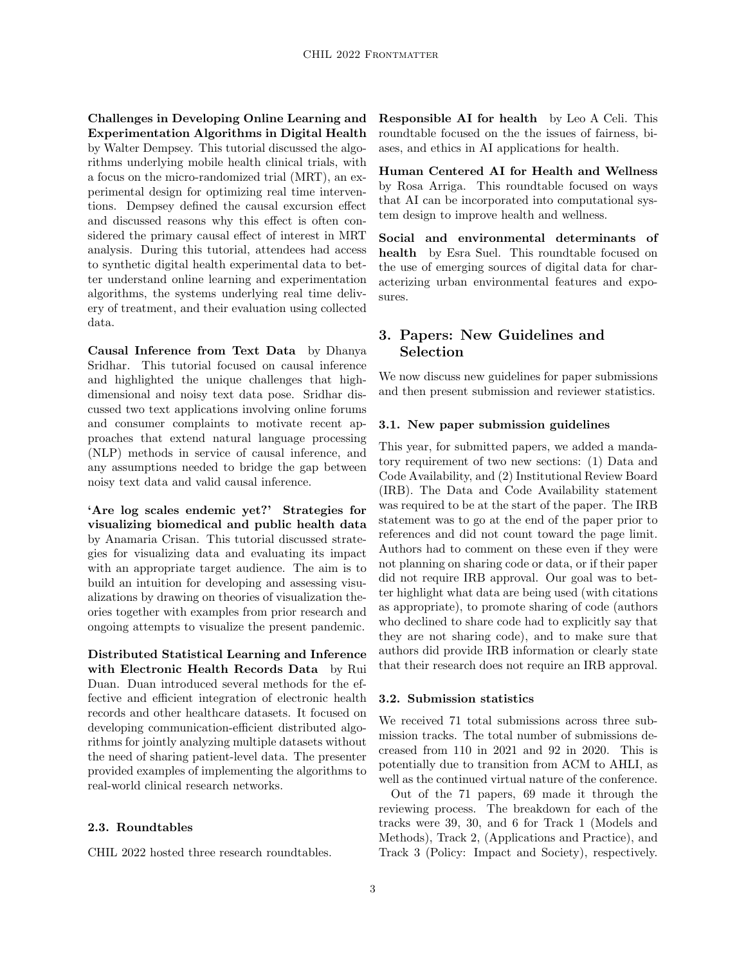Challenges in Developing Online Learning and Experimentation Algorithms in Digital Health by Walter Dempsey. This tutorial discussed the algorithms underlying mobile health clinical trials, with a focus on the micro-randomized trial (MRT), an experimental design for optimizing real time interventions. Dempsey defined the causal excursion effect and discussed reasons why this effect is often considered the primary causal effect of interest in MRT analysis. During this tutorial, attendees had access to synthetic digital health experimental data to better understand online learning and experimentation algorithms, the systems underlying real time delivery of treatment, and their evaluation using collected data.

Causal Inference from Text Data by Dhanya Sridhar. This tutorial focused on causal inference and highlighted the unique challenges that highdimensional and noisy text data pose. Sridhar discussed two text applications involving online forums and consumer complaints to motivate recent approaches that extend natural language processing (NLP) methods in service of causal inference, and any assumptions needed to bridge the gap between noisy text data and valid causal inference.

'Are log scales endemic yet?' Strategies for visualizing biomedical and public health data by Anamaria Crisan. This tutorial discussed strategies for visualizing data and evaluating its impact with an appropriate target audience. The aim is to build an intuition for developing and assessing visualizations by drawing on theories of visualization theories together with examples from prior research and ongoing attempts to visualize the present pandemic.

Distributed Statistical Learning and Inference with Electronic Health Records Data by Rui Duan. Duan introduced several methods for the effective and efficient integration of electronic health records and other healthcare datasets. It focused on developing communication-efficient distributed algorithms for jointly analyzing multiple datasets without the need of sharing patient-level data. The presenter provided examples of implementing the algorithms to real-world clinical research networks.

#### 2.3. Roundtables

CHIL 2022 hosted three research roundtables.

Responsible AI for health by Leo A Celi. This roundtable focused on the the issues of fairness, biases, and ethics in AI applications for health.

Human Centered AI for Health and Wellness by Rosa Arriga. This roundtable focused on ways that AI can be incorporated into computational system design to improve health and wellness.

Social and environmental determinants of health by Esra Suel. This roundtable focused on the use of emerging sources of digital data for characterizing urban environmental features and exposures.

# 3. Papers: New Guidelines and Selection

We now discuss new guidelines for paper submissions and then present submission and reviewer statistics.

#### 3.1. New paper submission guidelines

This year, for submitted papers, we added a mandatory requirement of two new sections: (1) Data and Code Availability, and (2) Institutional Review Board (IRB). The Data and Code Availability statement was required to be at the start of the paper. The IRB statement was to go at the end of the paper prior to references and did not count toward the page limit. Authors had to comment on these even if they were not planning on sharing code or data, or if their paper did not require IRB approval. Our goal was to better highlight what data are being used (with citations as appropriate), to promote sharing of code (authors who declined to share code had to explicitly say that they are not sharing code), and to make sure that authors did provide IRB information or clearly state that their research does not require an IRB approval.

#### 3.2. Submission statistics

We received 71 total submissions across three submission tracks. The total number of submissions decreased from 110 in 2021 and 92 in 2020. This is potentially due to transition from ACM to AHLI, as well as the continued virtual nature of the conference.

Out of the 71 papers, 69 made it through the reviewing process. The breakdown for each of the tracks were 39, 30, and 6 for Track 1 (Models and Methods), Track 2, (Applications and Practice), and Track 3 (Policy: Impact and Society), respectively.